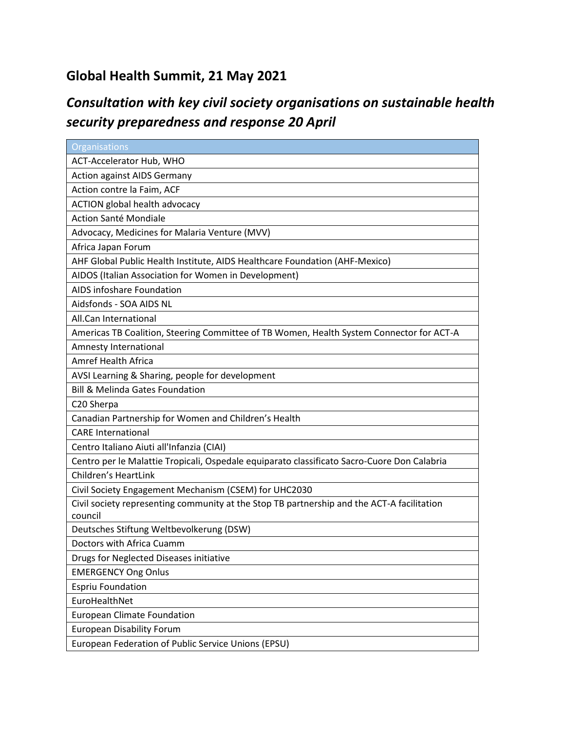## **Global Health Summit, 21 May 2021**

## *Consultation with key civil society organisations on sustainable health security preparedness and response 20 April*

| Organisations                                                                               |
|---------------------------------------------------------------------------------------------|
| ACT-Accelerator Hub, WHO                                                                    |
| <b>Action against AIDS Germany</b>                                                          |
| Action contre la Faim, ACF                                                                  |
| ACTION global health advocacy                                                               |
| Action Santé Mondiale                                                                       |
| Advocacy, Medicines for Malaria Venture (MVV)                                               |
| Africa Japan Forum                                                                          |
| AHF Global Public Health Institute, AIDS Healthcare Foundation (AHF-Mexico)                 |
| AIDOS (Italian Association for Women in Development)                                        |
| AIDS infoshare Foundation                                                                   |
| Aidsfonds - SOA AIDS NL                                                                     |
| All.Can International                                                                       |
| Americas TB Coalition, Steering Committee of TB Women, Health System Connector for ACT-A    |
| Amnesty International                                                                       |
| Amref Health Africa                                                                         |
| AVSI Learning & Sharing, people for development                                             |
| <b>Bill &amp; Melinda Gates Foundation</b>                                                  |
| C20 Sherpa                                                                                  |
| Canadian Partnership for Women and Children's Health                                        |
| <b>CARE</b> International                                                                   |
| Centro Italiano Aiuti all'Infanzia (CIAI)                                                   |
| Centro per le Malattie Tropicali, Ospedale equiparato classificato Sacro-Cuore Don Calabria |
| <b>Children's HeartLink</b>                                                                 |
| Civil Society Engagement Mechanism (CSEM) for UHC2030                                       |
| Civil society representing community at the Stop TB partnership and the ACT-A facilitation  |
| council                                                                                     |
| Deutsches Stiftung Weltbevolkerung (DSW)                                                    |
| Doctors with Africa Cuamm                                                                   |
| Drugs for Neglected Diseases initiative                                                     |
| <b>EMERGENCY Ong Onlus</b>                                                                  |
| <b>Espriu Foundation</b>                                                                    |
| EuroHealthNet                                                                               |
| European Climate Foundation                                                                 |
| <b>European Disability Forum</b>                                                            |
| European Federation of Public Service Unions (EPSU)                                         |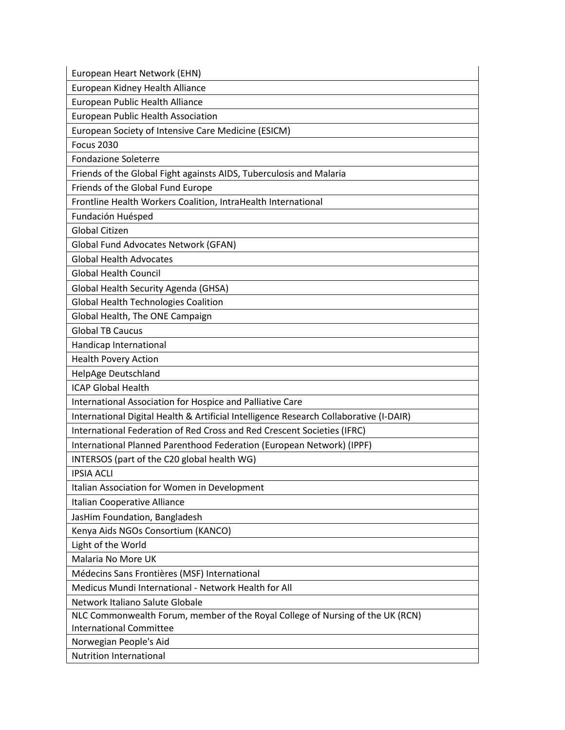| European Heart Network (EHN)                                                           |
|----------------------------------------------------------------------------------------|
| European Kidney Health Alliance                                                        |
| European Public Health Alliance                                                        |
| <b>European Public Health Association</b>                                              |
| European Society of Intensive Care Medicine (ESICM)                                    |
| <b>Focus 2030</b>                                                                      |
| <b>Fondazione Soleterre</b>                                                            |
| Friends of the Global Fight againsts AIDS, Tuberculosis and Malaria                    |
| Friends of the Global Fund Europe                                                      |
| Frontline Health Workers Coalition, IntraHealth International                          |
| Fundación Huésped                                                                      |
| <b>Global Citizen</b>                                                                  |
| Global Fund Advocates Network (GFAN)                                                   |
| <b>Global Health Advocates</b>                                                         |
| <b>Global Health Council</b>                                                           |
| Global Health Security Agenda (GHSA)                                                   |
| <b>Global Health Technologies Coalition</b>                                            |
| Global Health, The ONE Campaign                                                        |
| <b>Global TB Caucus</b>                                                                |
| Handicap International                                                                 |
| <b>Health Povery Action</b>                                                            |
| HelpAge Deutschland                                                                    |
| <b>ICAP Global Health</b>                                                              |
| International Association for Hospice and Palliative Care                              |
| International Digital Health & Artificial Intelligence Research Collaborative (I-DAIR) |
| International Federation of Red Cross and Red Crescent Societies (IFRC)                |
| International Planned Parenthood Federation (European Network) (IPPF)                  |
| INTERSOS (part of the C20 global health WG)                                            |
| <b>IPSIA ACLI</b>                                                                      |
| Italian Association for Women in Development                                           |
| Italian Cooperative Alliance                                                           |
| JasHim Foundation, Bangladesh                                                          |
| Kenya Aids NGOs Consortium (KANCO)                                                     |
| Light of the World                                                                     |
| Malaria No More UK                                                                     |
| Médecins Sans Frontières (MSF) International                                           |
| Medicus Mundi International - Network Health for All                                   |
| Network Italiano Salute Globale                                                        |
| NLC Commonwealth Forum, member of the Royal College of Nursing of the UK (RCN)         |
| <b>International Committee</b>                                                         |
| Norwegian People's Aid                                                                 |
| <b>Nutrition International</b>                                                         |